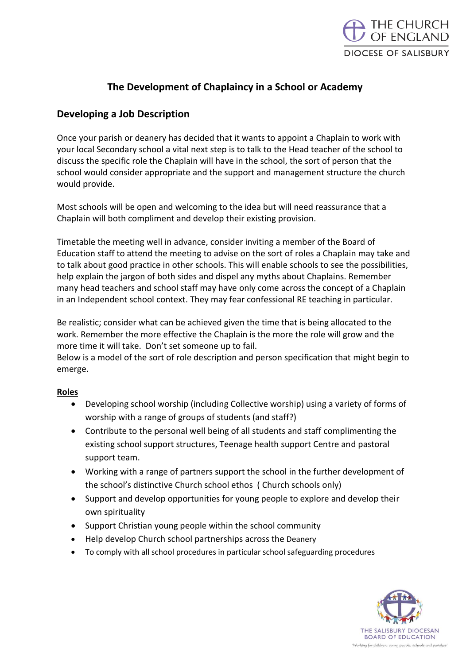

## **The Development of Chaplaincy in a School or Academy**

## **Developing a Job Description**

Once your parish or deanery has decided that it wants to appoint a Chaplain to work with your local Secondary school a vital next step is to talk to the Head teacher of the school to discuss the specific role the Chaplain will have in the school, the sort of person that the school would consider appropriate and the support and management structure the church would provide.

Most schools will be open and welcoming to the idea but will need reassurance that a Chaplain will both compliment and develop their existing provision.

Timetable the meeting well in advance, consider inviting a member of the Board of Education staff to attend the meeting to advise on the sort of roles a Chaplain may take and to talk about good practice in other schools. This will enable schools to see the possibilities, help explain the jargon of both sides and dispel any myths about Chaplains. Remember many head teachers and school staff may have only come across the concept of a Chaplain in an Independent school context. They may fear confessional RE teaching in particular.

Be realistic; consider what can be achieved given the time that is being allocated to the work. Remember the more effective the Chaplain is the more the role will grow and the more time it will take. Don't set someone up to fail.

Below is a model of the sort of role description and person specification that might begin to emerge.

## **Roles**

- Developing school worship (including Collective worship) using a variety of forms of worship with a range of groups of students (and staff?)
- Contribute to the personal well being of all students and staff complimenting the existing school support structures, Teenage health support Centre and pastoral support team.
- Working with a range of partners support the school in the further development of the school's distinctive Church school ethos ( Church schools only)
- Support and develop opportunities for young people to explore and develop their own spirituality
- Support Christian young people within the school community
- Help develop Church school partnerships across the Deanery
- To comply with all school procedures in particular school safeguarding procedures